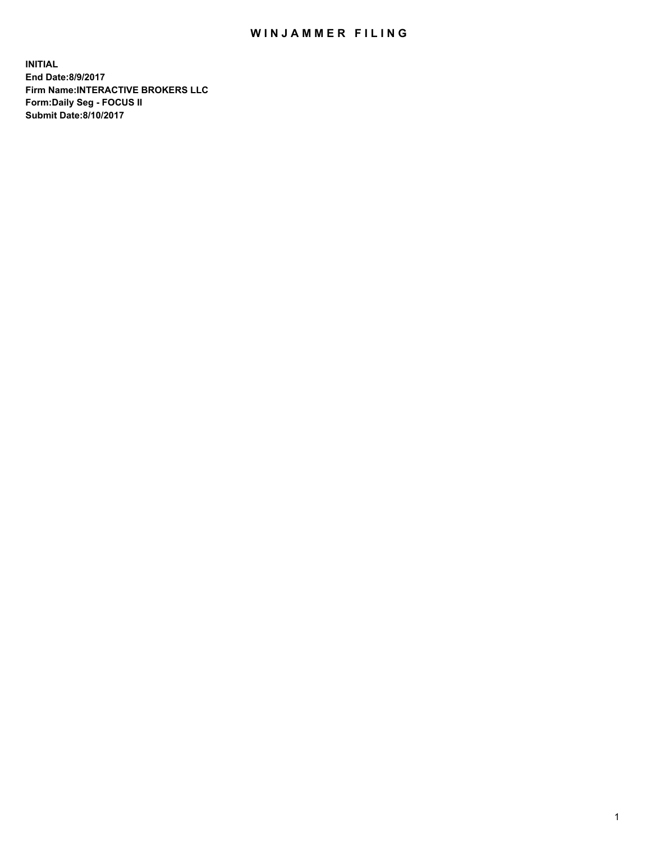## WIN JAMMER FILING

**INITIAL End Date:8/9/2017 Firm Name:INTERACTIVE BROKERS LLC Form:Daily Seg - FOCUS II Submit Date:8/10/2017**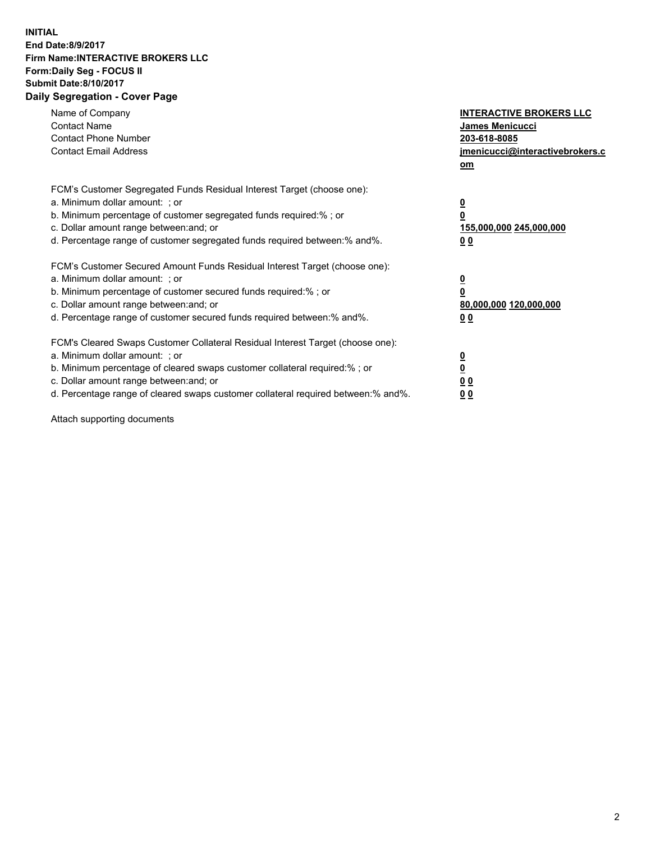## **INITIAL End Date:8/9/2017 Firm Name:INTERACTIVE BROKERS LLC Form:Daily Seg - FOCUS II Submit Date:8/10/2017 Daily Segregation - Cover Page**

| Name of Company<br><b>Contact Name</b><br><b>Contact Phone Number</b><br><b>Contact Email Address</b>                                                                                                                                                                                                                          | <b>INTERACTIVE BROKERS LLC</b><br><b>James Menicucci</b><br>203-618-8085<br>jmenicucci@interactivebrokers.c<br>om |
|--------------------------------------------------------------------------------------------------------------------------------------------------------------------------------------------------------------------------------------------------------------------------------------------------------------------------------|-------------------------------------------------------------------------------------------------------------------|
| FCM's Customer Segregated Funds Residual Interest Target (choose one):<br>a. Minimum dollar amount: ; or<br>b. Minimum percentage of customer segregated funds required:% ; or<br>c. Dollar amount range between: and; or<br>d. Percentage range of customer segregated funds required between: % and %.                       | $\overline{\mathbf{0}}$<br>0<br>155,000,000 245,000,000<br>00                                                     |
| FCM's Customer Secured Amount Funds Residual Interest Target (choose one):<br>a. Minimum dollar amount: ; or<br>b. Minimum percentage of customer secured funds required:%; or<br>c. Dollar amount range between: and; or<br>d. Percentage range of customer secured funds required between: % and %.                          | $\overline{\mathbf{0}}$<br>0<br>80,000,000 120,000,000<br>00                                                      |
| FCM's Cleared Swaps Customer Collateral Residual Interest Target (choose one):<br>a. Minimum dollar amount: ; or<br>b. Minimum percentage of cleared swaps customer collateral required:% ; or<br>c. Dollar amount range between: and; or<br>d. Percentage range of cleared swaps customer collateral required between:% and%. | $\overline{\mathbf{0}}$<br>$\overline{\mathbf{0}}$<br>00<br>0 <sub>0</sub>                                        |

Attach supporting documents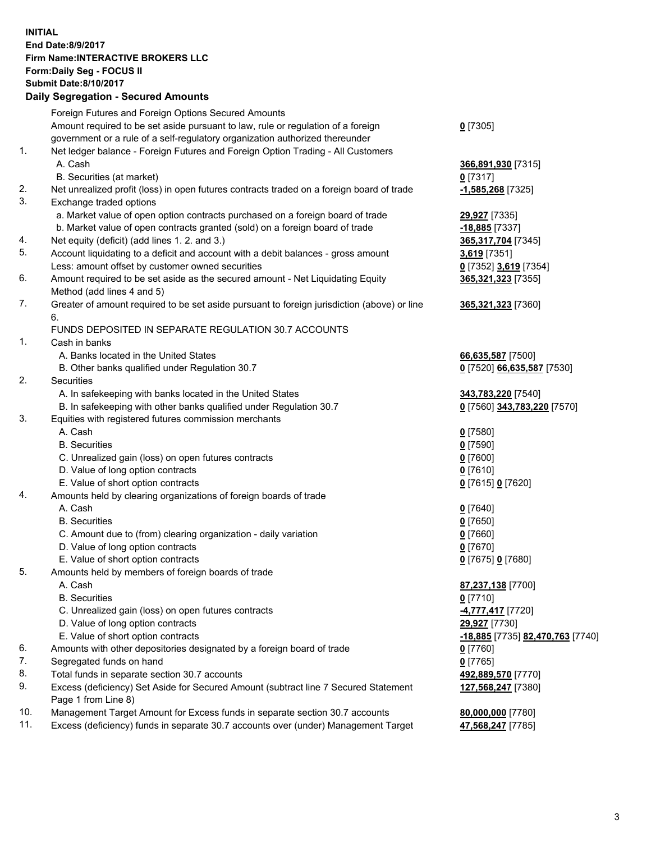## **INITIAL End Date:8/9/2017 Firm Name:INTERACTIVE BROKERS LLC Form:Daily Seg - FOCUS II Submit Date:8/10/2017 Daily Segregation - Secured Amounts**

|     | Daily Ocglegation - Occuled Amounts                                                         |                                  |
|-----|---------------------------------------------------------------------------------------------|----------------------------------|
|     | Foreign Futures and Foreign Options Secured Amounts                                         |                                  |
|     | Amount required to be set aside pursuant to law, rule or regulation of a foreign            | $0$ [7305]                       |
|     | government or a rule of a self-regulatory organization authorized thereunder                |                                  |
| 1.  | Net ledger balance - Foreign Futures and Foreign Option Trading - All Customers             |                                  |
|     | A. Cash                                                                                     | 366,891,930 [7315]               |
|     | B. Securities (at market)                                                                   | $0$ [7317]                       |
| 2.  | Net unrealized profit (loss) in open futures contracts traded on a foreign board of trade   | -1,585,268 [7325]                |
| 3.  | Exchange traded options                                                                     |                                  |
|     | a. Market value of open option contracts purchased on a foreign board of trade              | 29,927 [7335]                    |
|     | b. Market value of open contracts granted (sold) on a foreign board of trade                | -18,885 [7337]                   |
| 4.  | Net equity (deficit) (add lines 1. 2. and 3.)                                               | 365, 317, 704 [7345]             |
| 5.  | Account liquidating to a deficit and account with a debit balances - gross amount           | 3,619 [7351]                     |
|     | Less: amount offset by customer owned securities                                            | 0 [7352] 3,619 [7354]            |
| 6.  | Amount required to be set aside as the secured amount - Net Liquidating Equity              | 365,321,323 [7355]               |
|     | Method (add lines 4 and 5)                                                                  |                                  |
| 7.  | Greater of amount required to be set aside pursuant to foreign jurisdiction (above) or line | 365,321,323 [7360]               |
|     | 6.                                                                                          |                                  |
|     | FUNDS DEPOSITED IN SEPARATE REGULATION 30.7 ACCOUNTS                                        |                                  |
| 1.  | Cash in banks                                                                               |                                  |
|     | A. Banks located in the United States                                                       | 66,635,587 [7500]                |
|     | B. Other banks qualified under Regulation 30.7                                              | 0 [7520] 66,635,587 [7530]       |
| 2.  | Securities                                                                                  |                                  |
|     | A. In safekeeping with banks located in the United States                                   | 343,783,220 [7540]               |
|     | B. In safekeeping with other banks qualified under Regulation 30.7                          | 0 [7560] 343,783,220 [7570]      |
| 3.  | Equities with registered futures commission merchants                                       |                                  |
|     | A. Cash                                                                                     | $0$ [7580]                       |
|     | <b>B.</b> Securities                                                                        | $0$ [7590]                       |
|     | C. Unrealized gain (loss) on open futures contracts                                         | $0$ [7600]                       |
|     | D. Value of long option contracts                                                           | $0$ [7610]                       |
|     | E. Value of short option contracts                                                          | 0 [7615] 0 [7620]                |
| 4.  | Amounts held by clearing organizations of foreign boards of trade                           |                                  |
|     | A. Cash                                                                                     | $0$ [7640]                       |
|     | <b>B.</b> Securities                                                                        | $0$ [7650]                       |
|     | C. Amount due to (from) clearing organization - daily variation                             | $0$ [7660]                       |
|     | D. Value of long option contracts                                                           | $0$ [7670]                       |
| 5.  | E. Value of short option contracts                                                          | 0 [7675] 0 [7680]                |
|     | Amounts held by members of foreign boards of trade<br>A. Cash                               | 87,237,138 [7700]                |
|     | <b>B.</b> Securities                                                                        | $0$ [7710]                       |
|     | C. Unrealized gain (loss) on open futures contracts                                         | 4,777,417 [7720]                 |
|     | D. Value of long option contracts                                                           | 29,927 [7730]                    |
|     | E. Value of short option contracts                                                          | -18,885 [7735] 82,470,763 [7740] |
| 6.  | Amounts with other depositories designated by a foreign board of trade                      | 0 [7760]                         |
| 7.  | Segregated funds on hand                                                                    | $0$ [7765]                       |
| 8.  | Total funds in separate section 30.7 accounts                                               | 492,889,570 [7770]               |
| 9.  | Excess (deficiency) Set Aside for Secured Amount (subtract line 7 Secured Statement         | 127,568,247 [7380]               |
|     | Page 1 from Line 8)                                                                         |                                  |
| 10. | Management Target Amount for Excess funds in separate section 30.7 accounts                 | 80,000,000 [7780]                |
| 11. | Excess (deficiency) funds in separate 30.7 accounts over (under) Management Target          | 47,568,247 [7785]                |
|     |                                                                                             |                                  |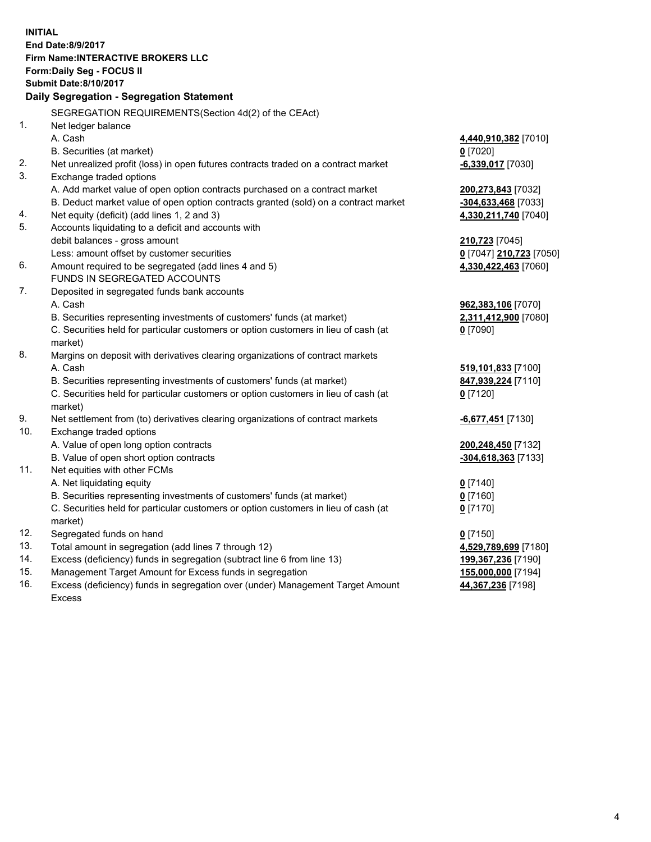**INITIAL End Date:8/9/2017 Firm Name:INTERACTIVE BROKERS LLC Form:Daily Seg - FOCUS II Submit Date:8/10/2017 Daily Segregation - Segregation Statement** SEGREGATION REQUIREMENTS(Section 4d(2) of the CEAct) 1. Net ledger balance A. Cash **4,440,910,382** [7010] B. Securities (at market) **0** [7020] 2. Net unrealized profit (loss) in open futures contracts traded on a contract market **-6,339,017** [7030] 3. Exchange traded options A. Add market value of open option contracts purchased on a contract market **200,273,843** [7032] B. Deduct market value of open option contracts granted (sold) on a contract market **-304,633,468** [7033] 4. Net equity (deficit) (add lines 1, 2 and 3) **4,330,211,740** [7040] 5. Accounts liquidating to a deficit and accounts with debit balances - gross amount **210,723** [7045] Less: amount offset by customer securities **0** [7047] **210,723** [7050] 6. Amount required to be segregated (add lines 4 and 5) **4,330,422,463** [7060] FUNDS IN SEGREGATED ACCOUNTS 7. Deposited in segregated funds bank accounts A. Cash **962,383,106** [7070] B. Securities representing investments of customers' funds (at market) **2,311,412,900** [7080] C. Securities held for particular customers or option customers in lieu of cash (at market) **0** [7090] 8. Margins on deposit with derivatives clearing organizations of contract markets A. Cash **519,101,833** [7100] B. Securities representing investments of customers' funds (at market) **847,939,224** [7110] C. Securities held for particular customers or option customers in lieu of cash (at market) **0** [7120] 9. Net settlement from (to) derivatives clearing organizations of contract markets **-6,677,451** [7130] 10. Exchange traded options A. Value of open long option contracts **200,248,450** [7132] B. Value of open short option contracts **-304,618,363** [7133] 11. Net equities with other FCMs A. Net liquidating equity **0** [7140] B. Securities representing investments of customers' funds (at market) **0** [7160] C. Securities held for particular customers or option customers in lieu of cash (at market) **0** [7170] 12. Segregated funds on hand **0** [7150] 13. Total amount in segregation (add lines 7 through 12) **4,529,789,699** [7180] 14. Excess (deficiency) funds in segregation (subtract line 6 from line 13) **199,367,236** [7190] 15. Management Target Amount for Excess funds in segregation **155,000,000** [7194] 16. Excess (deficiency) funds in segregation over (under) Management Target Amount **44,367,236** [7198]

Excess